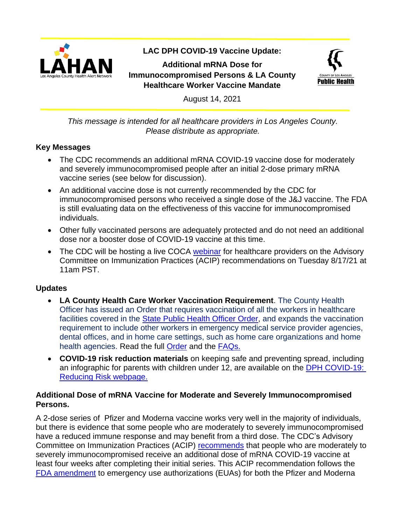

# **LAC DPH COVID-19 Vaccine Update:**

**Additional mRNA Dose for Immunocompromised Persons & LA County Healthcare Worker Vaccine Mandate**



August 14, 2021

*This message is intended for all healthcare providers in Los Angeles County. Please distribute as appropriate.*

#### **Key Messages**

- The CDC recommends an additional mRNA COVID-19 vaccine dose for moderately and severely immunocompromised people after an initial 2-dose primary mRNA vaccine series (see below for discussion).
- An additional vaccine dose is not currently recommended by the CDC for immunocompromised persons who received a single dose of the J&J vaccine. The FDA is still evaluating data on the effectiveness of this vaccine for immunocompromised individuals.
- Other fully vaccinated persons are adequately protected and do not need an additional dose nor a booster dose of COVID-19 vaccine at this time.
- The CDC will be hosting a live COCA [webinar](https://emergency.cdc.gov/coca/calls/2021/callinfo_081721.asp) for healthcare providers on the Advisory Committee on Immunization Practices (ACIP) recommendations on Tuesday 8/17/21 at 11am PST.

#### **Updates**

- **LA County Health Care Worker Vaccination Requirement**. The County Health Officer has issued an Order that requires vaccination of all the workers in healthcare facilities covered in the [State Public Health Officer Order,](https://www.cdph.ca.gov/Programs/CID/DCDC/Pages/COVID-19/Order-of-the-State-Public-Health-Officer-Unvaccinated-Workers-In-High-Risk-Settings.aspx) and expands the vaccination requirement to include other workers in emergency medical service provider agencies, dental offices, and in home care settings, such as home care organizations and home health agencies. Read the full [Order](http://publichealth.lacounty.gov/media/Coronavirus/docs/HOO/HOO_HealthCareWorkerVaccination.pdf) and the **FAQs.**
- **COVID-19 risk reduction materials** on keeping safe and preventing spread, including an infographic for parents with children under 12, are available on the **DPH COVID-19:** [Reducing Risk webpage.](http://publichealth.lacounty.gov/acd/ncorona2019/reducingrisk/)

#### **Additional Dose of mRNA Vaccine for Moderate and Severely Immunocompromised Persons.**

A 2-dose series of Pfizer and Moderna vaccine works very well in the majority of individuals, but there is evidence that some people who are moderately to severely immunocompromised have a reduced immune response and may benefit from a third dose. The CDC's Advisory Committee on Immunization Practices (ACIP) [recommends](https://www.cdc.gov/media/releases/2021/s0813-additional-mRNA-mrna-dose.html?CDC_AA_refVal=https%3A%2F%2Fwww.cdc.gov%2Fmedia%2Freleases%2F2021%2Fs0813-additional-mRNA-mrna-dose.html.html) that people who are moderately to severely immunocompromised receive an additional dose of mRNA COVID-19 vaccine at least four weeks after completing their initial series. This ACIP recommendation follows the [FDA amendment](https://www.fda.gov/news-events/press-announcements/coronavirus-covid-19-update-fda-authorizes-additional-vaccine-dose-certain-immunocompromised) to emergency use authorizations (EUAs) for both the Pfizer and Moderna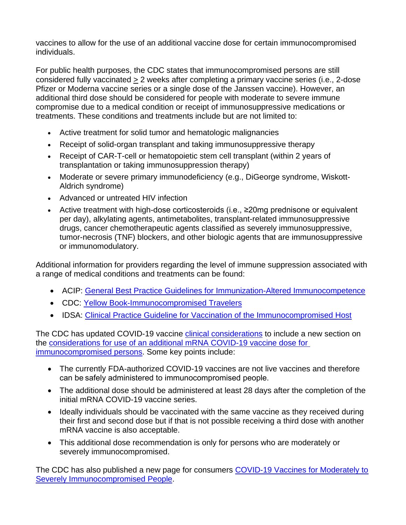vaccines to allow for the use of an additional vaccine dose for certain immunocompromised individuals.

For public health purposes, the CDC states that immunocompromised persons are still considered fully vaccinated > 2 weeks after completing a primary vaccine series (i.e., 2-dose Pfizer or Moderna vaccine series or a single dose of the Janssen vaccine). However, an additional third dose should be considered for people with moderate to severe immune compromise due to a medical condition or receipt of immunosuppressive medications or treatments. These conditions and treatments include but are not limited to:

- Active treatment for solid tumor and hematologic malignancies
- Receipt of solid-organ transplant and taking immunosuppressive therapy
- Receipt of CAR-T-cell or hematopoietic stem cell transplant (within 2 years of transplantation or taking immunosuppression therapy)
- Moderate or severe primary immunodeficiency (e.g., DiGeorge syndrome, Wiskott-Aldrich syndrome)
- Advanced or untreated HIV infection
- Active treatment with high-dose corticosteroids (i.e., ≥20mg prednisone or equivalent per day), alkylating agents, antimetabolites, transplant-related immunosuppressive drugs, cancer chemotherapeutic agents classified as severely immunosuppressive, tumor-necrosis (TNF) blockers, and other biologic agents that are immunosuppressive or immunomodulatory.

Additional information for providers regarding the level of immune suppression associated with a range of medical conditions and treatments can be found:

- ACIP: [General Best Practice Guidelines for Immunization-Altered Immunocompetence](https://www.cdc.gov/vaccines/hcp/acip-recs/general-recs/immunocompetence.html)
- CDC: [Yellow Book-Immunocompromised Travelers](https://wwwnc.cdc.gov/travel/yellowbook/2020/travelers-with-additional-considerations/immunocompromised-travelers)
- IDSA: [Clinical Practice Guideline for Vaccination of the Immunocompromised Host](https://academic.oup.com/cid/article/58/3/e44/336537)

The CDC has updated COVID-19 vaccine [clinical considerations](https://www.cdc.gov/vaccines/covid-19/info-by-product/clinical-considerations.html) to include a new section on the [considerations for use of an additional mRNA COVID-19 vaccine](https://www.cdc.gov/vaccines/covid-19/clinical-considerations/covid-19-vaccines-us.html?CDC_AA_refVal=https%3A%2F%2Fwww.cdc.gov%2Fvaccines%2Fcovid-19%2Finfo-by-product%2Fclinical-considerations.html#considerations-additional-vaccine-dose) dose for [immunocompromised persons.](https://www.cdc.gov/vaccines/covid-19/clinical-considerations/covid-19-vaccines-us.html?CDC_AA_refVal=https%3A%2F%2Fwww.cdc.gov%2Fvaccines%2Fcovid-19%2Finfo-by-product%2Fclinical-considerations.html#considerations-additional-vaccine-dose) Some key points include:

- The currently FDA-authorized COVID-19 vaccines are not live vaccines and therefore can be safely administered to immunocompromised people.
- The additional dose should be administered at least 28 days after the completion of the initial mRNA COVID-19 vaccine series.
- Ideally individuals should be vaccinated with the same vaccine as they received during their first and second dose but if that is not possible receiving a third dose with another mRNA vaccine is also acceptable.
- This additional dose recommendation is only for persons who are moderately or severely immunocompromised.

The CDC has also published a new page for consumers COVID-19 Vaccines for Moderately to [Severely Immunocompromised People.](https://www.cdc.gov/coronavirus/2019-ncov/vaccines/recommendations/immuno.html)